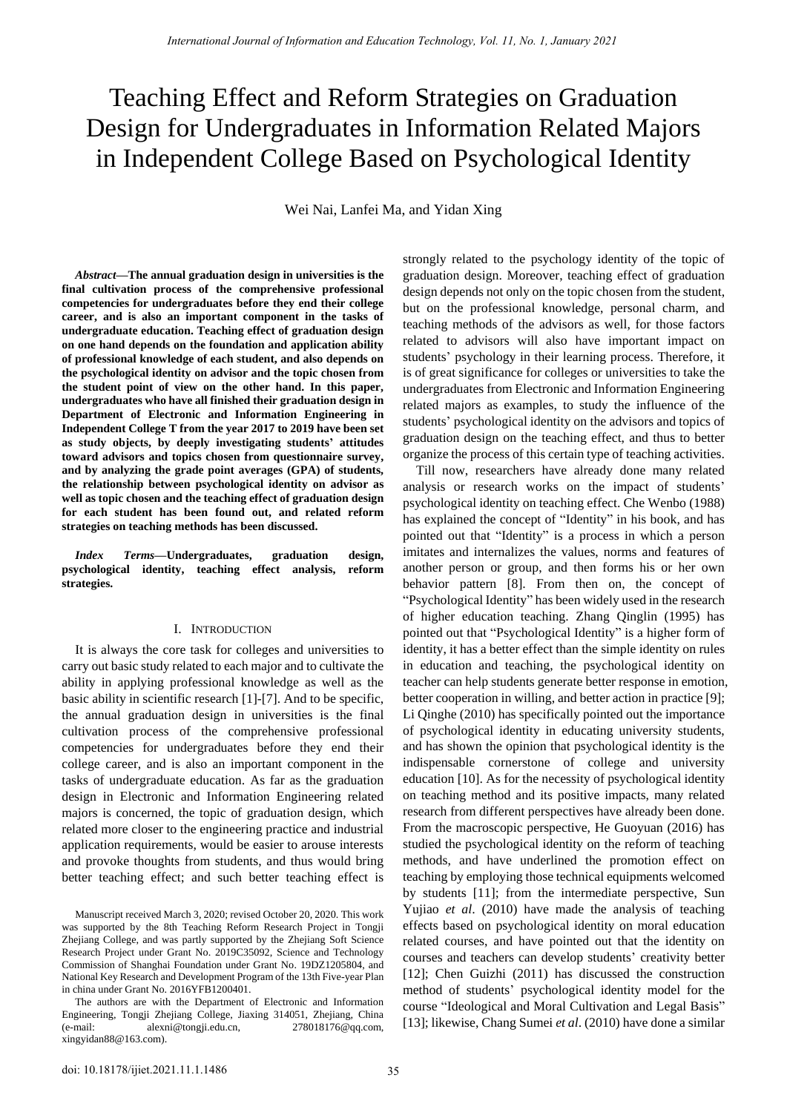# Teaching Effect and Reform Strategies on Graduation Design for Undergraduates in Information Related Majors in Independent College Based on Psychological Identity

Wei Nai, Lanfei Ma, and Yidan Xing

*Abstract***—The annual graduation design in universities is the final cultivation process of the comprehensive professional competencies for undergraduates before they end their college career, and is also an important component in the tasks of undergraduate education. Teaching effect of graduation design on one hand depends on the foundation and application ability of professional knowledge of each student, and also depends on the psychological identity on advisor and the topic chosen from the student point of view on the other hand. In this paper, undergraduates who have all finished their graduation design in Department of Electronic and Information Engineering in Independent College T from the year 2017 to 2019 have been set as study objects, by deeply investigating students' attitudes toward advisors and topics chosen from questionnaire survey, and by analyzing the grade point averages (GPA) of students, the relationship between psychological identity on advisor as well as topic chosen and the teaching effect of graduation design for each student has been found out, and related reform strategies on teaching methods has been discussed.** 

*Index Terms***—Undergraduates, graduation design, psychological identity, teaching effect analysis, reform strategies.** 

### I. INTRODUCTION

It is always the core task for colleges and universities to carry out basic study related to each major and to cultivate the ability in applying professional knowledge as well as the basic ability in scientific research [1]-[7]. And to be specific, the annual graduation design in universities is the final cultivation process of the comprehensive professional competencies for undergraduates before they end their college career, and is also an important component in the tasks of undergraduate education. As far as the graduation design in Electronic and Information Engineering related majors is concerned, the topic of graduation design, which related more closer to the engineering practice and industrial application requirements, would be easier to arouse interests and provoke thoughts from students, and thus would bring better teaching effect; and such better teaching effect is strongly related to the psychology identity of the topic of graduation design. Moreover, teaching effect of graduation design depends not only on the topic chosen from the student, but on the professional knowledge, personal charm, and teaching methods of the advisors as well, for those factors related to advisors will also have important impact on students' psychology in their learning process. Therefore, it is of great significance for colleges or universities to take the undergraduates from Electronic and Information Engineering related majors as examples, to study the influence of the students" psychological identity on the advisors and topics of graduation design on the teaching effect, and thus to better organize the process of this certain type of teaching activities.

Till now, researchers have already done many related analysis or research works on the impact of students" psychological identity on teaching effect. Che Wenbo (1988) has explained the concept of "Identity" in his book, and has pointed out that "Identity" is a process in which a person imitates and internalizes the values, norms and features of another person or group, and then forms his or her own behavior pattern [8]. From then on, the concept of "Psychological Identity" has been widely used in the research of higher education teaching. Zhang Qinglin (1995) has pointed out that "Psychological Identity" is a higher form of identity, it has a better effect than the simple identity on rules in education and teaching, the psychological identity on teacher can help students generate better response in emotion, better cooperation in willing, and better action in practice [9]; Li Qinghe (2010) has specifically pointed out the importance of psychological identity in educating university students, and has shown the opinion that psychological identity is the indispensable cornerstone of college and university education [10]. As for the necessity of psychological identity on teaching method and its positive impacts, many related research from different perspectives have already been done. From the macroscopic perspective, He Guoyuan (2016) has studied the psychological identity on the reform of teaching methods, and have underlined the promotion effect on teaching by employing those technical equipments welcomed by students [11]; from the intermediate perspective, Sun Yujiao *et al*. (2010) have made the analysis of teaching effects based on psychological identity on moral education related courses, and have pointed out that the identity on courses and teachers can develop students" creativity better [12]; Chen Guizhi (2011) has discussed the construction method of students" psychological identity model for the course "Ideological and Moral Cultivation and Legal Basis" [13]; likewise, Chang Sumei *et al*. (2010) have done a similar

Manuscript received March 3, 2020; revised October 20, 2020. This work was supported by the 8th Teaching Reform Research Project in Tongji Zhejiang College, and was partly supported by the Zhejiang Soft Science Research Project under Grant No. 2019C35092, Science and Technology Commission of Shanghai Foundation under Grant No. 19DZ1205804, and National Key Research and Development Program of the 13th Five-year Plan in china under Grant No. 2016YFB1200401.

The authors are with the Department of Electronic and Information Engineering, Tongji Zhejiang College, Jiaxing 314051, Zhejiang, China (e-mail: [alexni@tongji.edu.cn,](mailto:alexni@tongji.edu.cn) [278018176@qq.com,](mailto:278018176@qq.com)  xingyidan88@163.com).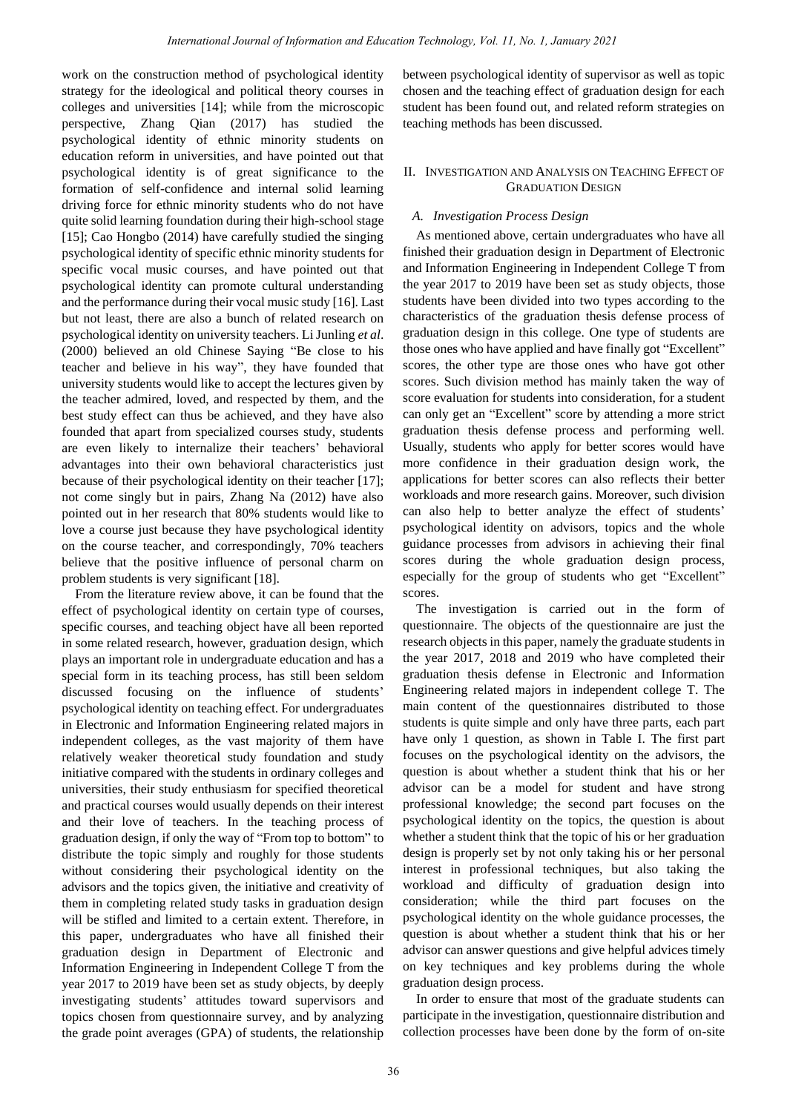work on the construction method of psychological identity strategy for the ideological and political theory courses in colleges and universities [14]; while from the microscopic perspective, Zhang Qian (2017) has studied the psychological identity of ethnic minority students on education reform in universities, and have pointed out that psychological identity is of great significance to the formation of self-confidence and internal solid learning driving force for ethnic minority students who do not have quite solid learning foundation during their high-school stage [15]; Cao Hongbo (2014) have carefully studied the singing psychological identity of specific ethnic minority students for specific vocal music courses, and have pointed out that psychological identity can promote cultural understanding and the performance during their vocal music study [16]. Last but not least, there are also a bunch of related research on psychological identity on university teachers. Li Junling *et al*. (2000) believed an old Chinese Saying "Be close to his teacher and believe in his way", they have founded that university students would like to accept the lectures given by the teacher admired, loved, and respected by them, and the best study effect can thus be achieved, and they have also founded that apart from specialized courses study, students are even likely to internalize their teachers' behavioral advantages into their own behavioral characteristics just because of their psychological identity on their teacher [17]; not come singly but in pairs, Zhang Na (2012) have also pointed out in her research that 80% students would like to love a course just because they have psychological identity on the course teacher, and correspondingly, 70% teachers believe that the positive influence of personal charm on problem students is very significant [18].

From the literature review above, it can be found that the effect of psychological identity on certain type of courses, specific courses, and teaching object have all been reported in some related research, however, graduation design, which plays an important role in undergraduate education and has a special form in its teaching process, has still been seldom discussed focusing on the influence of students' psychological identity on teaching effect. For undergraduates in Electronic and Information Engineering related majors in independent colleges, as the vast majority of them have relatively weaker theoretical study foundation and study initiative compared with the students in ordinary colleges and universities, their study enthusiasm for specified theoretical and practical courses would usually depends on their interest and their love of teachers. In the teaching process of graduation design, if only the way of "From top to bottom" to distribute the topic simply and roughly for those students without considering their psychological identity on the advisors and the topics given, the initiative and creativity of them in completing related study tasks in graduation design will be stifled and limited to a certain extent. Therefore, in this paper, undergraduates who have all finished their graduation design in Department of Electronic and Information Engineering in Independent College T from the year 2017 to 2019 have been set as study objects, by deeply investigating students" attitudes toward supervisors and topics chosen from questionnaire survey, and by analyzing the grade point averages (GPA) of students, the relationship between psychological identity of supervisor as well as topic chosen and the teaching effect of graduation design for each student has been found out, and related reform strategies on teaching methods has been discussed.

# II. INVESTIGATION AND ANALYSIS ON TEACHING EFFECT OF GRADUATION DESIGN

# *A. Investigation Process Design*

As mentioned above, certain undergraduates who have all finished their graduation design in Department of Electronic and Information Engineering in Independent College T from the year 2017 to 2019 have been set as study objects, those students have been divided into two types according to the characteristics of the graduation thesis defense process of graduation design in this college. One type of students are those ones who have applied and have finally got "Excellent" scores, the other type are those ones who have got other scores. Such division method has mainly taken the way of score evaluation for students into consideration, for a student can only get an "Excellent" score by attending a more strict graduation thesis defense process and performing well. Usually, students who apply for better scores would have more confidence in their graduation design work, the applications for better scores can also reflects their better workloads and more research gains. Moreover, such division can also help to better analyze the effect of students' psychological identity on advisors, topics and the whole guidance processes from advisors in achieving their final scores during the whole graduation design process, especially for the group of students who get "Excellent" scores.

The investigation is carried out in the form of questionnaire. The objects of the questionnaire are just the research objects in this paper, namely the graduate students in the year 2017, 2018 and 2019 who have completed their graduation thesis defense in Electronic and Information Engineering related majors in independent college T. The main content of the questionnaires distributed to those students is quite simple and only have three parts, each part have only 1 question, as shown in Table I. The first part focuses on the psychological identity on the advisors, the question is about whether a student think that his or her advisor can be a model for student and have strong professional knowledge; the second part focuses on the psychological identity on the topics, the question is about whether a student think that the topic of his or her graduation design is properly set by not only taking his or her personal interest in professional techniques, but also taking the workload and difficulty of graduation design into consideration; while the third part focuses on the psychological identity on the whole guidance processes, the question is about whether a student think that his or her advisor can answer questions and give helpful advices timely on key techniques and key problems during the whole graduation design process.

In order to ensure that most of the graduate students can participate in the investigation, questionnaire distribution and collection processes have been done by the form of on-site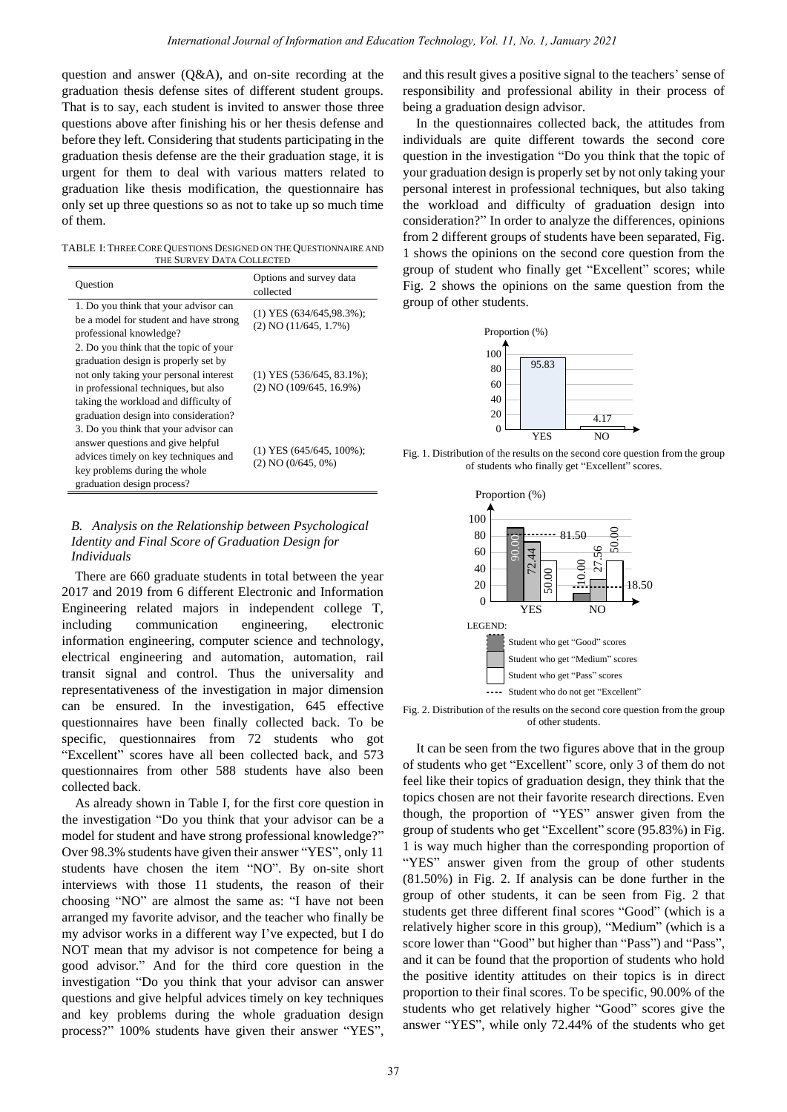question and answer (Q&A), and on-site recording at the graduation thesis defense sites of different student groups. That is to say, each student is invited to answer those three questions above after finishing his or her thesis defense and before they left. Considering that students participating in the graduation thesis defense are the their graduation stage, it is urgent for them to deal with various matters related to graduation like thesis modification, the questionnaire has only set up three questions so as not to take up so much time of them.

TABLE I: THREE CORE QUESTIONS DESIGNED ON THE QUESTIONNAIRE AND THE SURVEY DATA COLLECTED

| Ouestion                                                                                                                                                                                                                   | Options and survey data<br>collected                       |
|----------------------------------------------------------------------------------------------------------------------------------------------------------------------------------------------------------------------------|------------------------------------------------------------|
| 1. Do you think that your advisor can<br>be a model for student and have strong<br>professional knowledge?                                                                                                                 | $(1)$ YES $(634/645.98.3\%)$ ;<br>(2) NO (11/645, 1.7%)    |
| 2. Do you think that the topic of your<br>graduation design is properly set by<br>not only taking your personal interest<br>in professional techniques, but also<br>taking the workload and difficulty of                  | $(1)$ YES $(536/645, 83.1\%)$ ;<br>(2) NO (109/645, 16.9%) |
| graduation design into consideration?<br>3. Do you think that your advisor can<br>answer questions and give helpful<br>advices timely on key techniques and<br>key problems during the whole<br>graduation design process? | $(1)$ YES $(645/645, 100\%)$ ;<br>$(2) NO (0/645, 0\%)$    |

# *B. Analysis on the Relationship between Psychological Identity and Final Score of Graduation Design for Individuals*

There are 660 graduate students in total between the year 2017 and 2019 from 6 different Electronic and Information Engineering related majors in independent college T, including communication engineering, electronic information engineering, computer science and technology, electrical engineering and automation, automation, rail transit signal and control. Thus the universality and representativeness of the investigation in major dimension can be ensured. In the investigation, 645 effective questionnaires have been finally collected back. To be specific, questionnaires from 72 students who got "Excellent" scores have all been collected back, and 573 questionnaires from other 588 students have also been collected back.

As already shown in Table I, for the first core question in the investigation "Do you think that your advisor can be a model for student and have strong professional knowledge?" Over 98.3% students have given their answer "YES", only 11 students have chosen the item "NO". By on-site short interviews with those 11 students, the reason of their choosing "NO" are almost the same as: "I have not been arranged my favorite advisor, and the teacher who finally be my advisor works in a different way I"ve expected, but I do NOT mean that my advisor is not competence for being a good advisor." And for the third core question in the investigation "Do you think that your advisor can answer questions and give helpful advices timely on key techniques and key problems during the whole graduation design process?" 100% students have given their answer "YES",

and this result gives a positive signal to the teachers' sense of responsibility and professional ability in their process of being a graduation design advisor.

In the questionnaires collected back, the attitudes from individuals are quite different towards the second core question in the investigation "Do you think that the topic of your graduation design is properly set by not only taking your personal interest in professional techniques, but also taking the workload and difficulty of graduation design into consideration?" In order to analyze the differences, opinions from 2 different groups of students have been separated, Fig. 1 shows the opinions on the second core question from the group of student who finally get "Excellent" scores; while Fig. 2 shows the opinions on the same question from the group of other students.



Fig. 1. Distribution of the results on the second core question from the group of students who finally get "Excellent" scores.



Fig. 2. Distribution of the results on the second core question from the group of other students.

It can be seen from the two figures above that in the group of students who get "Excellent" score, only 3 of them do not feel like their topics of graduation design, they think that the topics chosen are not their favorite research directions. Even though, the proportion of "YES" answer given from the group of students who get "Excellent" score (95.83%) in Fig. 1 is way much higher than the corresponding proportion of "YES" answer given from the group of other students (81.50%) in Fig. 2. If analysis can be done further in the group of other students, it can be seen from Fig. 2 that students get three different final scores "Good" (which is a relatively higher score in this group), "Medium" (which is a score lower than "Good" but higher than "Pass") and "Pass", and it can be found that the proportion of students who hold the positive identity attitudes on their topics is in direct proportion to their final scores. To be specific, 90.00% of the students who get relatively higher "Good" scores give the answer "YES", while only 72.44% of the students who get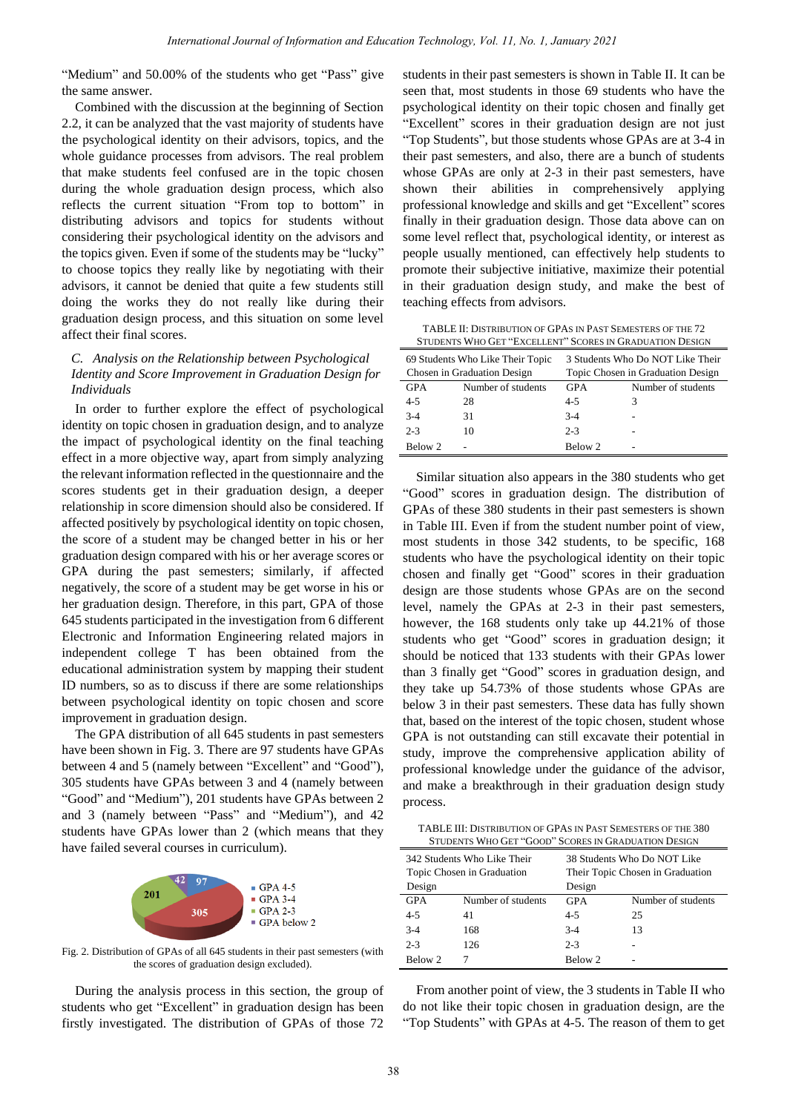"Medium" and 50.00% of the students who get "Pass" give the same answer.

Combined with the discussion at the beginning of Section 2.2, it can be analyzed that the vast majority of students have the psychological identity on their advisors, topics, and the whole guidance processes from advisors. The real problem that make students feel confused are in the topic chosen during the whole graduation design process, which also reflects the current situation "From top to bottom" in distributing advisors and topics for students without considering their psychological identity on the advisors and the topics given. Even if some of the students may be "lucky" to choose topics they really like by negotiating with their advisors, it cannot be denied that quite a few students still doing the works they do not really like during their graduation design process, and this situation on some level affect their final scores.

## *C. Analysis on the Relationship between Psychological Identity and Score Improvement in Graduation Design for Individuals*

In order to further explore the effect of psychological identity on topic chosen in graduation design, and to analyze the impact of psychological identity on the final teaching effect in a more objective way, apart from simply analyzing the relevant information reflected in the questionnaire and the scores students get in their graduation design, a deeper relationship in score dimension should also be considered. If affected positively by psychological identity on topic chosen, the score of a student may be changed better in his or her graduation design compared with his or her average scores or GPA during the past semesters; similarly, if affected negatively, the score of a student may be get worse in his or her graduation design. Therefore, in this part, GPA of those 645 students participated in the investigation from 6 different Electronic and Information Engineering related majors in independent college T has been obtained from the educational administration system by mapping their student ID numbers, so as to discuss if there are some relationships between psychological identity on topic chosen and score improvement in graduation design.

The GPA distribution of all 645 students in past semesters have been shown in Fig. 3. There are 97 students have GPAs between 4 and 5 (namely between "Excellent" and "Good"), 305 students have GPAs between 3 and 4 (namely between "Good" and "Medium"), 201 students have GPAs between 2 and 3 (namely between "Pass" and "Medium"), and 42 students have GPAs lower than 2 (which means that they have failed several courses in curriculum).



Fig. 2. Distribution of GPAs of all 645 students in their past semesters (with the scores of graduation design excluded).

During the analysis process in this section, the group of students who get "Excellent" in graduation design has been firstly investigated. The distribution of GPAs of those 72

students in their past semesters is shown in Table II. It can be seen that, most students in those 69 students who have the psychological identity on their topic chosen and finally get "Excellent" scores in their graduation design are not just "Top Students", but those students whose GPAs are at 3-4 in their past semesters, and also, there are a bunch of students whose GPAs are only at 2-3 in their past semesters, have shown their abilities in comprehensively applying professional knowledge and skills and get "Excellent" scores finally in their graduation design. Those data above can on some level reflect that, psychological identity, or interest as people usually mentioned, can effectively help students to promote their subjective initiative, maximize their potential in their graduation design study, and make the best of teaching effects from advisors.

TABLE II: DISTRIBUTION OF GPAS IN PAST SEMESTERS OF THE 72 **JDENTS WHO GET "EXCELLENT" SCORES IN GRADUATION DESIGN** 

| 0.000.00 0.000 0.000 0.000.000<br><u>DCONDUM CINIDOMIQUE DIOISSI</u> |                                                                 |            |                                                                       |  |
|----------------------------------------------------------------------|-----------------------------------------------------------------|------------|-----------------------------------------------------------------------|--|
|                                                                      | 69 Students Who Like Their Topic<br>Chosen in Graduation Design |            | 3 Students Who Do NOT Like Their<br>Topic Chosen in Graduation Design |  |
| <b>GPA</b>                                                           | Number of students                                              | <b>GPA</b> | Number of students                                                    |  |
| 4-5                                                                  | 28                                                              | $4 - 5$    |                                                                       |  |
| $3 - 4$                                                              | 31                                                              | $3-4$      |                                                                       |  |
| $2 - 3$                                                              | 10                                                              | $2 - 3$    |                                                                       |  |
| Below 2                                                              |                                                                 | Below 2    |                                                                       |  |

Similar situation also appears in the 380 students who get "Good" scores in graduation design. The distribution of GPAs of these 380 students in their past semesters is shown in Table III. Even if from the student number point of view, most students in those 342 students, to be specific, 168 students who have the psychological identity on their topic chosen and finally get "Good" scores in their graduation design are those students whose GPAs are on the second level, namely the GPAs at 2-3 in their past semesters, however, the 168 students only take up 44.21% of those students who get "Good" scores in graduation design; it should be noticed that 133 students with their GPAs lower than 3 finally get "Good" scores in graduation design, and they take up 54.73% of those students whose GPAs are below 3 in their past semesters. These data has fully shown that, based on the interest of the topic chosen, student whose GPA is not outstanding can still excavate their potential in study, improve the comprehensive application ability of professional knowledge under the guidance of the advisor, and make a breakthrough in their graduation design study process.

TABLE III: DISTRIBUTION OF GPAS IN PAST SEMESTERS OF THE 380 STUDENTS WHO GET "GOOD" SCORES IN GRADUATION DESIGN

|            | 342 Students Who Like Their |            | 38 Students Who Do NOT Like      |
|------------|-----------------------------|------------|----------------------------------|
|            | Topic Chosen in Graduation  |            | Their Topic Chosen in Graduation |
| Design     |                             | Design     |                                  |
| <b>GPA</b> | Number of students          | <b>GPA</b> | Number of students               |
| $4 - 5$    | 41                          | $4 - 5$    | 25                               |
| $3-4$      | 168                         | $3-4$      | 13                               |
| $2 - 3$    | 126                         | $2 - 3$    |                                  |
| Below 2    |                             | Below 2    |                                  |

From another point of view, the 3 students in Table II who do not like their topic chosen in graduation design, are the "Top Students" with GPAs at 4-5. The reason of them to get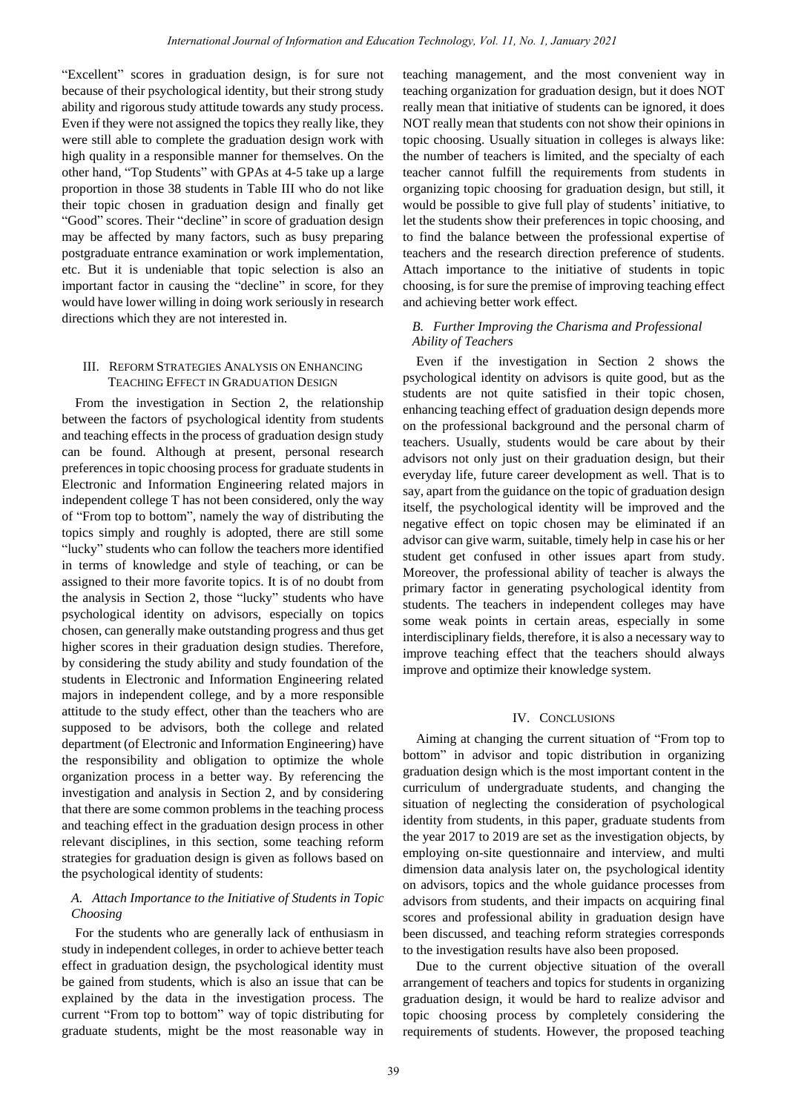"Excellent" scores in graduation design, is for sure not because of their psychological identity, but their strong study ability and rigorous study attitude towards any study process. Even if they were not assigned the topics they really like, they were still able to complete the graduation design work with high quality in a responsible manner for themselves. On the other hand, "Top Students" with GPAs at 4-5 take up a large proportion in those 38 students in Table III who do not like their topic chosen in graduation design and finally get "Good" scores. Their "decline" in score of graduation design may be affected by many factors, such as busy preparing postgraduate entrance examination or work implementation, etc. But it is undeniable that topic selection is also an important factor in causing the "decline" in score, for they would have lower willing in doing work seriously in research directions which they are not interested in.

## III. REFORM STRATEGIES ANALYSIS ON ENHANCING TEACHING EFFECT IN GRADUATION DESIGN

From the investigation in Section 2, the relationship between the factors of psychological identity from students and teaching effects in the process of graduation design study can be found. Although at present, personal research preferences in topic choosing process for graduate students in Electronic and Information Engineering related majors in independent college T has not been considered, only the way of "From top to bottom", namely the way of distributing the topics simply and roughly is adopted, there are still some "lucky" students who can follow the teachers more identified in terms of knowledge and style of teaching, or can be assigned to their more favorite topics. It is of no doubt from the analysis in Section 2, those "lucky" students who have psychological identity on advisors, especially on topics chosen, can generally make outstanding progress and thus get higher scores in their graduation design studies. Therefore, by considering the study ability and study foundation of the students in Electronic and Information Engineering related majors in independent college, and by a more responsible attitude to the study effect, other than the teachers who are supposed to be advisors, both the college and related department (of Electronic and Information Engineering) have the responsibility and obligation to optimize the whole organization process in a better way. By referencing the investigation and analysis in Section 2, and by considering that there are some common problems in the teaching process and teaching effect in the graduation design process in other relevant disciplines, in this section, some teaching reform strategies for graduation design is given as follows based on the psychological identity of students:

## *A. Attach Importance to the Initiative of Students in Topic Choosing*

For the students who are generally lack of enthusiasm in study in independent colleges, in order to achieve better teach effect in graduation design, the psychological identity must be gained from students, which is also an issue that can be explained by the data in the investigation process. The current "From top to bottom" way of topic distributing for graduate students, might be the most reasonable way in

teaching management, and the most convenient way in teaching organization for graduation design, but it does NOT really mean that initiative of students can be ignored, it does NOT really mean that students con not show their opinions in topic choosing. Usually situation in colleges is always like: the number of teachers is limited, and the specialty of each teacher cannot fulfill the requirements from students in organizing topic choosing for graduation design, but still, it would be possible to give full play of students' initiative, to let the students show their preferences in topic choosing, and to find the balance between the professional expertise of teachers and the research direction preference of students. Attach importance to the initiative of students in topic choosing, is for sure the premise of improving teaching effect and achieving better work effect.

# *B. Further Improving the Charisma and Professional Ability of Teachers*

Even if the investigation in Section 2 shows the psychological identity on advisors is quite good, but as the students are not quite satisfied in their topic chosen, enhancing teaching effect of graduation design depends more on the professional background and the personal charm of teachers. Usually, students would be care about by their advisors not only just on their graduation design, but their everyday life, future career development as well. That is to say, apart from the guidance on the topic of graduation design itself, the psychological identity will be improved and the negative effect on topic chosen may be eliminated if an advisor can give warm, suitable, timely help in case his or her student get confused in other issues apart from study. Moreover, the professional ability of teacher is always the primary factor in generating psychological identity from students. The teachers in independent colleges may have some weak points in certain areas, especially in some interdisciplinary fields, therefore, it is also a necessary way to improve teaching effect that the teachers should always improve and optimize their knowledge system.

### IV. CONCLUSIONS

Aiming at changing the current situation of "From top to bottom" in advisor and topic distribution in organizing graduation design which is the most important content in the curriculum of undergraduate students, and changing the situation of neglecting the consideration of psychological identity from students, in this paper, graduate students from the year 2017 to 2019 are set as the investigation objects, by employing on-site questionnaire and interview, and multi dimension data analysis later on, the psychological identity on advisors, topics and the whole guidance processes from advisors from students, and their impacts on acquiring final scores and professional ability in graduation design have been discussed, and teaching reform strategies corresponds to the investigation results have also been proposed.

Due to the current objective situation of the overall arrangement of teachers and topics for students in organizing graduation design, it would be hard to realize advisor and topic choosing process by completely considering the requirements of students. However, the proposed teaching